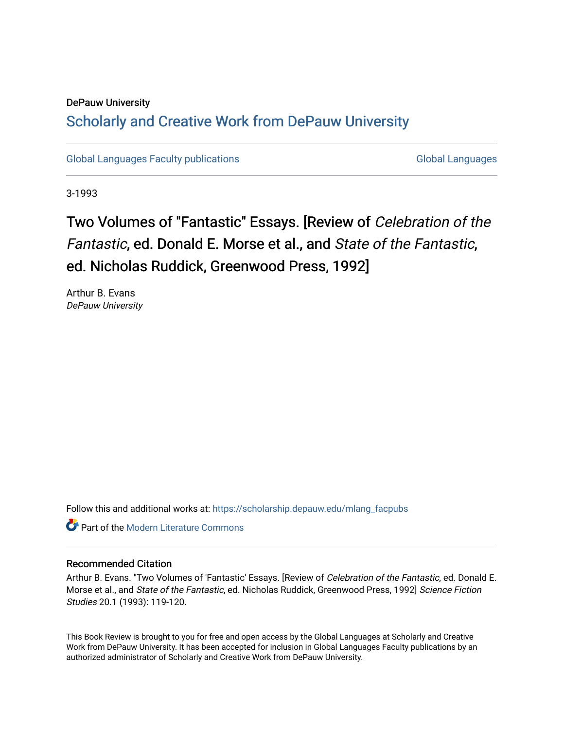### DePauw University Scholarly and [Creative Work from DePauw Univ](https://scholarship.depauw.edu/)ersity

[Global Languages Faculty publications](https://scholarship.depauw.edu/mlang_facpubs) [Global Languages](https://scholarship.depauw.edu/modernlanguages) Global Languages

3-1993

## Two Volumes of "Fantastic" Essays. [Review of Celebration of the Fantastic, ed. Donald E. Morse et al., and State of the Fantastic, ed. Nicholas Ruddick, Greenwood Press, 1992]

Arthur B. Evans DePauw University

Follow this and additional works at: [https://scholarship.depauw.edu/mlang\\_facpubs](https://scholarship.depauw.edu/mlang_facpubs?utm_source=scholarship.depauw.edu%2Fmlang_facpubs%2F44&utm_medium=PDF&utm_campaign=PDFCoverPages)

**C** Part of the Modern Literature Commons

#### Recommended Citation

Arthur B. Evans. "Two Volumes of 'Fantastic' Essays. [Review of Celebration of the Fantastic, ed. Donald E. Morse et al., and State of the Fantastic, ed. Nicholas Ruddick, Greenwood Press, 1992] Science Fiction Studies 20.1 (1993): 119-120.

This Book Review is brought to you for free and open access by the Global Languages at Scholarly and Creative Work from DePauw University. It has been accepted for inclusion in Global Languages Faculty publications by an authorized administrator of Scholarly and Creative Work from DePauw University.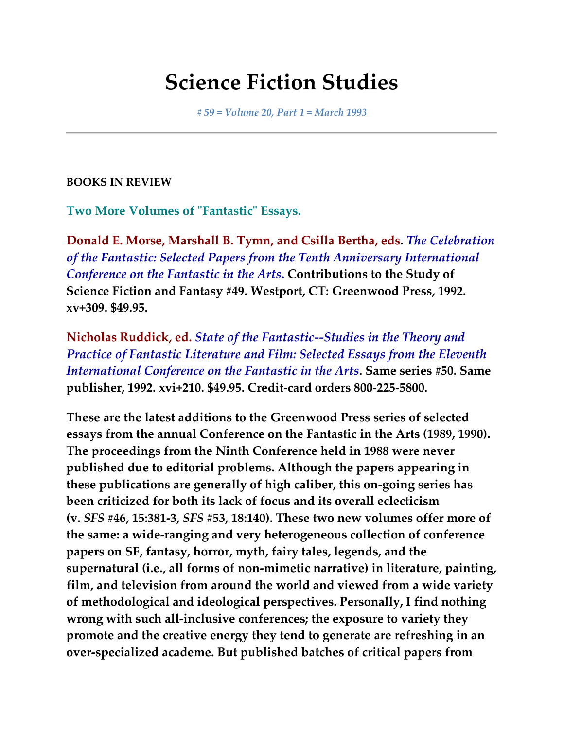# **Science Fiction Studies**

*# 59 = Volume 20, Part 1 = March 1993*

#### **BOOKS IN REVIEW**

**Two More Volumes of "Fantastic" Essays.**

**Donald E. Morse, Marshall B. Tymn, and Csilla Bertha, eds.** *The Celebration of the Fantastic: Selected Papers from the Tenth Anniversary International Conference on the Fantastic in the Arts***. Contributions to the Study of Science Fiction and Fantasy #49. Westport, CT: Greenwood Press, 1992. xv+309. \$49.95.**

**Nicholas Ruddick, ed.** *State of the Fantastic--Studies in the Theory and Practice of Fantastic Literature and Film: Selected Essays from the Eleventh International Conference on the Fantastic in the Arts***. Same series #50. Same publisher, 1992. xvi+210. \$49.95. Credit-card orders 800-225-5800.**

**These are the latest additions to the Greenwood Press series of selected essays from the annual Conference on the Fantastic in the Arts (1989, 1990). The proceedings from the Ninth Conference held in 1988 were never published due to editorial problems. Although the papers appearing in these publications are generally of high caliber, this on-going series has been criticized for both its lack of focus and its overall eclecticism (v.** *SFS* **#46, 15:381-3,** *SFS* **#53, 18:140). These two new volumes offer more of the same: a wide-ranging and very heterogeneous collection of conference papers on SF, fantasy, horror, myth, fairy tales, legends, and the supernatural (i.e., all forms of non-mimetic narrative) in literature, painting, film, and television from around the world and viewed from a wide variety of methodological and ideological perspectives. Personally, I find nothing wrong with such all-inclusive conferences; the exposure to variety they promote and the creative energy they tend to generate are refreshing in an over-specialized academe. But published batches of critical papers from**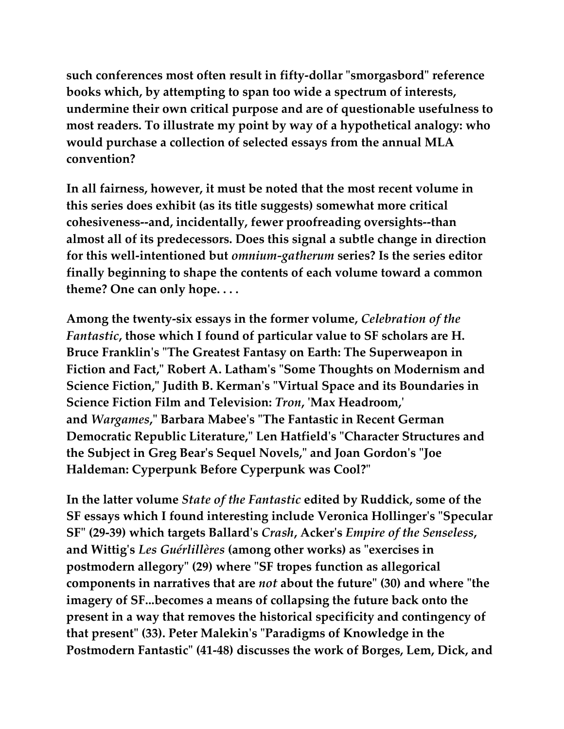**such conferences most often result in fifty-dollar "smorgasbord" reference books which, by attempting to span too wide a spectrum of interests, undermine their own critical purpose and are of questionable usefulness to most readers. To illustrate my point by way of a hypothetical analogy: who would purchase a collection of selected essays from the annual MLA convention?**

**In all fairness, however, it must be noted that the most recent volume in this series does exhibit (as its title suggests) somewhat more critical cohesiveness--and, incidentally, fewer proofreading oversights--than almost all of its predecessors. Does this signal a subtle change in direction for this well-intentioned but** *omnium-gatherum* **series? Is the series editor finally beginning to shape the contents of each volume toward a common theme? One can only hope. . . .**

**Among the twenty-six essays in the former volume,** *Celebration of the Fantastic***, those which I found of particular value to SF scholars are H. Bruce Franklin's "The Greatest Fantasy on Earth: The Superweapon in Fiction and Fact," Robert A. Latham's "Some Thoughts on Modernism and Science Fiction," Judith B. Kerman's "Virtual Space and its Boundaries in Science Fiction Film and Television:** *Tron***, 'Max Headroom,' and** *Wargames***," Barbara Mabee's "The Fantastic in Recent German Democratic Republic Literature," Len Hatfield's "Character Structures and the Subject in Greg Bear's Sequel Novels," and Joan Gordon's "Joe Haldeman: Cyperpunk Before Cyperpunk was Cool?"**

**In the latter volume** *State of the Fantastic* **edited by Ruddick, some of the SF essays which I found interesting include Veronica Hollinger's "Specular SF" (29-39) which targets Ballard's** *Crash***, Acker's** *Empire of the Senseless***, and Wittig's** *Les Guérlillères* **(among other works) as "exercises in postmodern allegory" (29) where "SF tropes function as allegorical components in narratives that are** *not* **about the future" (30) and where "the imagery of SF...becomes a means of collapsing the future back onto the present in a way that removes the historical specificity and contingency of that present" (33). Peter Malekin's "Paradigms of Knowledge in the Postmodern Fantastic" (41-48) discusses the work of Borges, Lem, Dick, and**